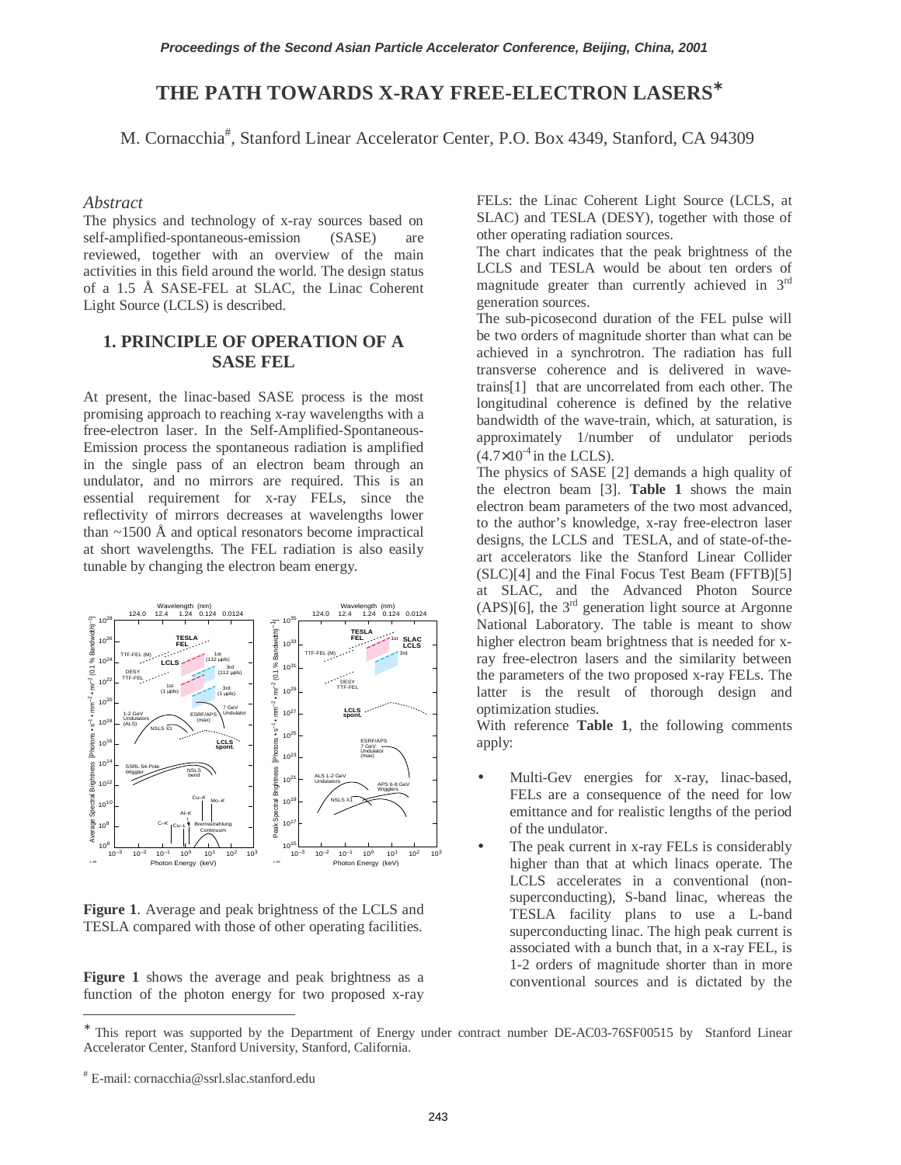# **THE PATH TOWARDS X-RAY FREE-ELECTRON LASERS**<sup>∗</sup>

M. Cornacchia# , Stanford Linear Accelerator Center, P.O. Box 4349, Stanford, CA 94309

### *Abstract*

The physics and technology of x-ray sources based on self-amplified-spontaneous-emission (SASE) are reviewed, together with an overview of the main activities in this field around the world. The design status of a 1.5 Å SASE-FEL at SLAC, the Linac Coherent Light Source (LCLS) is described.

## **1. PRINCIPLE OF OPERATION OF A SASE FEL**

At present, the linac-based SASE process is the most promising approach to reaching x-ray wavelengths with a free-electron laser. In the Self-Amplified-Spontaneous-Emission process the spontaneous radiation is amplified in the single pass of an electron beam through an undulator, and no mirrors are required. This is an essential requirement for x-ray FELs, since the reflectivity of mirrors decreases at wavelengths lower than  $\sim$ 1500 Å and optical resonators become impractical at short wavelengths. The FEL radiation is also easily tunable by changing the electron beam energy.



**Figure 1**. Average and peak brightness of the LCLS and TESLA compared with those of other operating facilities.

Figure 1 shows the average and peak brightness as a function of the photon energy for two proposed x-ray FELs: the Linac Coherent Light Source (LCLS, at SLAC) and TESLA (DESY), together with those of other operating radiation sources.

The chart indicates that the peak brightness of the LCLS and TESLA would be about ten orders of magnitude greater than currently achieved in 3rd generation sources.

The sub-picosecond duration of the FEL pulse will be two orders of magnitude shorter than what can be achieved in a synchrotron. The radiation has full transverse coherence and is delivered in wavetrains[1] that are uncorrelated from each other. The longitudinal coherence is defined by the relative bandwidth of the wave-train, which, at saturation, is approximately 1/number of undulator periods  $(4.7\times10^{-4})$  in the LCLS).

The physics of SASE [2] demands a high quality of the electron beam [3]. **Table 1** shows the main electron beam parameters of the two most advanced, to the author's knowledge, x-ray free-electron laser designs, the LCLS and TESLA, and of state-of-theart accelerators like the Stanford Linear Collider (SLC)[4] and the Final Focus Test Beam (FFTB)[5] at SLAC, and the Advanced Photon Source  $(APS)[6]$ , the 3<sup>rd</sup> generation light source at Argonne National Laboratory. The table is meant to show higher electron beam brightness that is needed for xray free-electron lasers and the similarity between the parameters of the two proposed x-ray FELs. The latter is the result of thorough design and optimization studies.

With reference **Table 1**, the following comments apply:

- Multi-Gev energies for x-ray, linac-based, FELs are a consequence of the need for low emittance and for realistic lengths of the period of the undulator.
- The peak current in x-ray FELs is considerably higher than that at which linacs operate. The LCLS accelerates in a conventional (nonsuperconducting), S-band linac, whereas the TESLA facility plans to use a L-band superconducting linac. The high peak current is associated with a bunch that, in a x-ray FEL, is 1-2 orders of magnitude shorter than in more conventional sources and is dictated by the

 $\overline{a}$ 

This report was supported by the Department of Energy under contract number DE-AC03-76SF00515 by Stanford Linear Accelerator Center, Stanford University, Stanford, California.

<sup>#</sup> E-mail: cornacchia@ssrl.slac.stanford.edu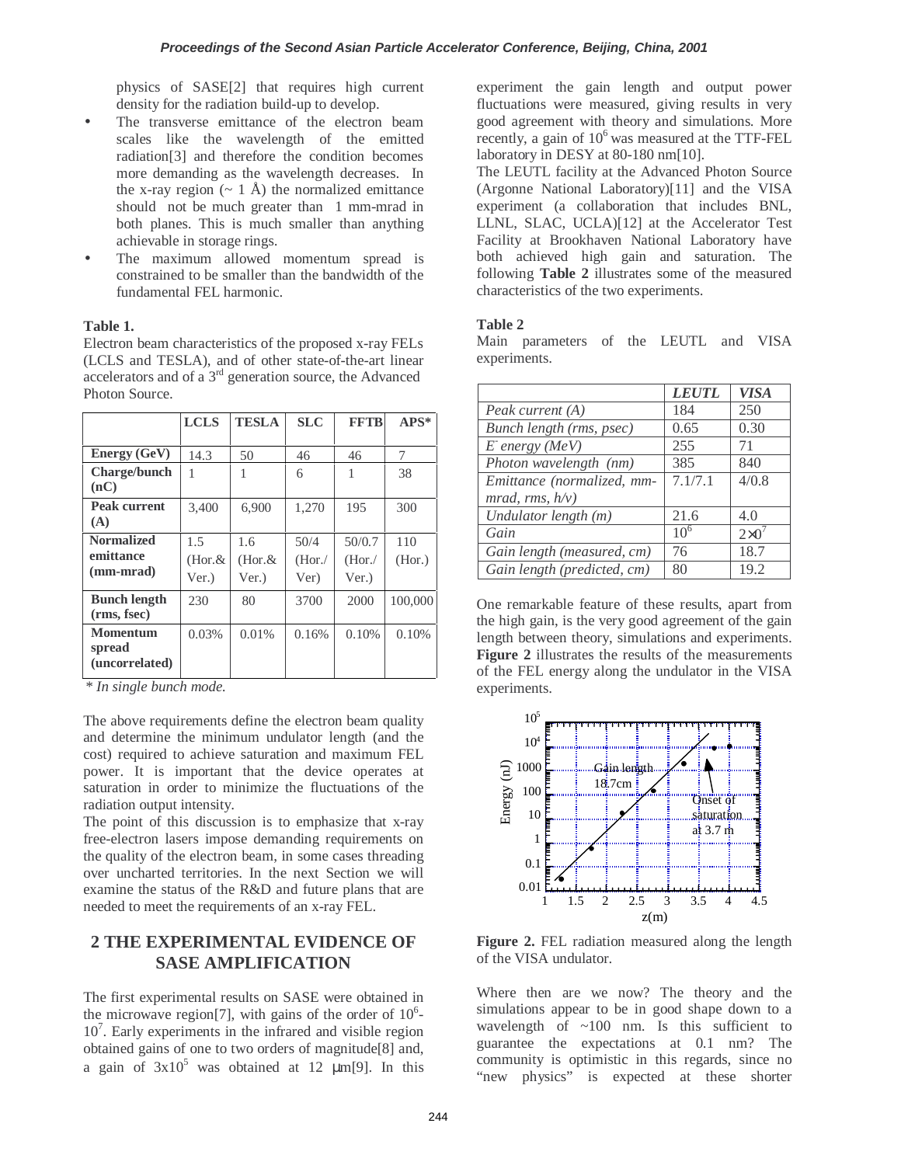physics of SASE[2] that requires high current density for the radiation build-up to develop.

- The transverse emittance of the electron beam scales like the wavelength of the emitted radiation[3] and therefore the condition becomes more demanding as the wavelength decreases. In the x-ray region  $({\sim 1 \text{ Å}})$  the normalized emittance should not be much greater than 1 mm-mrad in both planes. This is much smaller than anything achievable in storage rings.
- The maximum allowed momentum spread is constrained to be smaller than the bandwidth of the fundamental FEL harmonic.

### **Table 1.**

Electron beam characteristics of the proposed x-ray FELs (LCLS and TESLA), and of other state-of-the-art linear accelerators and of a  $3<sup>rd</sup>$  generation source, the Advanced Photon Source.

|                                             | <b>LCLS</b>               | <b>TESLA</b>               | <b>SLC</b>              | <b>FFTB</b>              | $APS*$        |
|---------------------------------------------|---------------------------|----------------------------|-------------------------|--------------------------|---------------|
| <b>Energy (GeV)</b>                         | 14.3                      | 50                         | 46                      | 46                       | 7             |
| <b>Charge/bunch</b><br>(nC)                 | 1                         |                            | 6                       |                          | 38            |
| <b>Peak current</b><br>(A)                  | 3.400                     | 6,900                      | 1,270                   | 195                      | 300           |
| <b>Normalized</b><br>emittance<br>(mm-mrad) | 1.5<br>$(Hor.\&$<br>Ver.) | 1.6<br>$(Hor. \&$<br>Ver.) | 50/4<br>(Hor. /<br>Ver) | 50/0.7<br>(Hor.<br>Ver.) | 110<br>(Hor.) |
| <b>Bunch length</b><br>(rms, fsec)          | 230                       | 80                         | 3700                    | 2000                     | 100,000       |
| <b>Momentum</b><br>spread<br>(uncorrelated) | 0.03%                     | 0.01%                      | 0.16%                   | 0.10%                    | 0.10%         |

*\* In single bunch mode.* 

The above requirements define the electron beam quality and determine the minimum undulator length (and the cost) required to achieve saturation and maximum FEL power. It is important that the device operates at saturation in order to minimize the fluctuations of the radiation output intensity.

The point of this discussion is to emphasize that x-ray free-electron lasers impose demanding requirements on the quality of the electron beam, in some cases threading over uncharted territories. In the next Section we will examine the status of the R&D and future plans that are needed to meet the requirements of an x-ray FEL.

# **2 THE EXPERIMENTAL EVIDENCE OF SASE AMPLIFICATION**

The first experimental results on SASE were obtained in the microwave region[7], with gains of the order of  $10<sup>6</sup>$ -107 . Early experiments in the infrared and visible region obtained gains of one to two orders of magnitude[8] and, a gain of  $3x10^5$  was obtained at 12  $\mu$ m[9]. In this experiment the gain length and output power fluctuations were measured, giving results in very good agreement with theory and simulations. More recently, a gain of  $10^6$  was measured at the TTF-FEL laboratory in DESY at 80-180 nm[10].

The LEUTL facility at the Advanced Photon Source (Argonne National Laboratory)[11] and the VISA experiment (a collaboration that includes BNL, LLNL, SLAC, UCLA)[12] at the Accelerator Test Facility at Brookhaven National Laboratory have both achieved high gain and saturation. The following **Table 2** illustrates some of the measured characteristics of the two experiments.

### **Table 2**

Main parameters of the LEUTL and VISA experiments.

|                             | <i><b>LEUTL</b></i> | <b>VISA</b>   |
|-----------------------------|---------------------|---------------|
| Peak current (A)            | 184                 | 250           |
| Bunch length (rms, psec)    | 0.65                | 0.30          |
| $E$ energy (MeV)            | 255                 | 71            |
| Photon wavelength (nm)      | 385                 | 840           |
| Emittance (normalized, mm-  | 7.1/7.1             | 4/0.8         |
| mrad, rms, $h/v$ )          |                     |               |
| Undulator length (m)        | 21.6                | 4.0           |
| Gain                        | $10^{6}$            | $2\times 0^7$ |
| Gain length (measured, cm)  | 76                  | 18.7          |
| Gain length (predicted, cm) | 80                  | 19.2          |

One remarkable feature of these results, apart from the high gain, is the very good agreement of the gain length between theory, simulations and experiments. **Figure 2** illustrates the results of the measurements of the FEL energy along the undulator in the VISA experiments.



**Figure 2.** FEL radiation measured along the length of the VISA undulator.

Where then are we now? The theory and the simulations appear to be in good shape down to a wavelength of ~100 nm. Is this sufficient to guarantee the expectations at 0.1 nm? The community is optimistic in this regards, since no "new physics" is expected at these shorter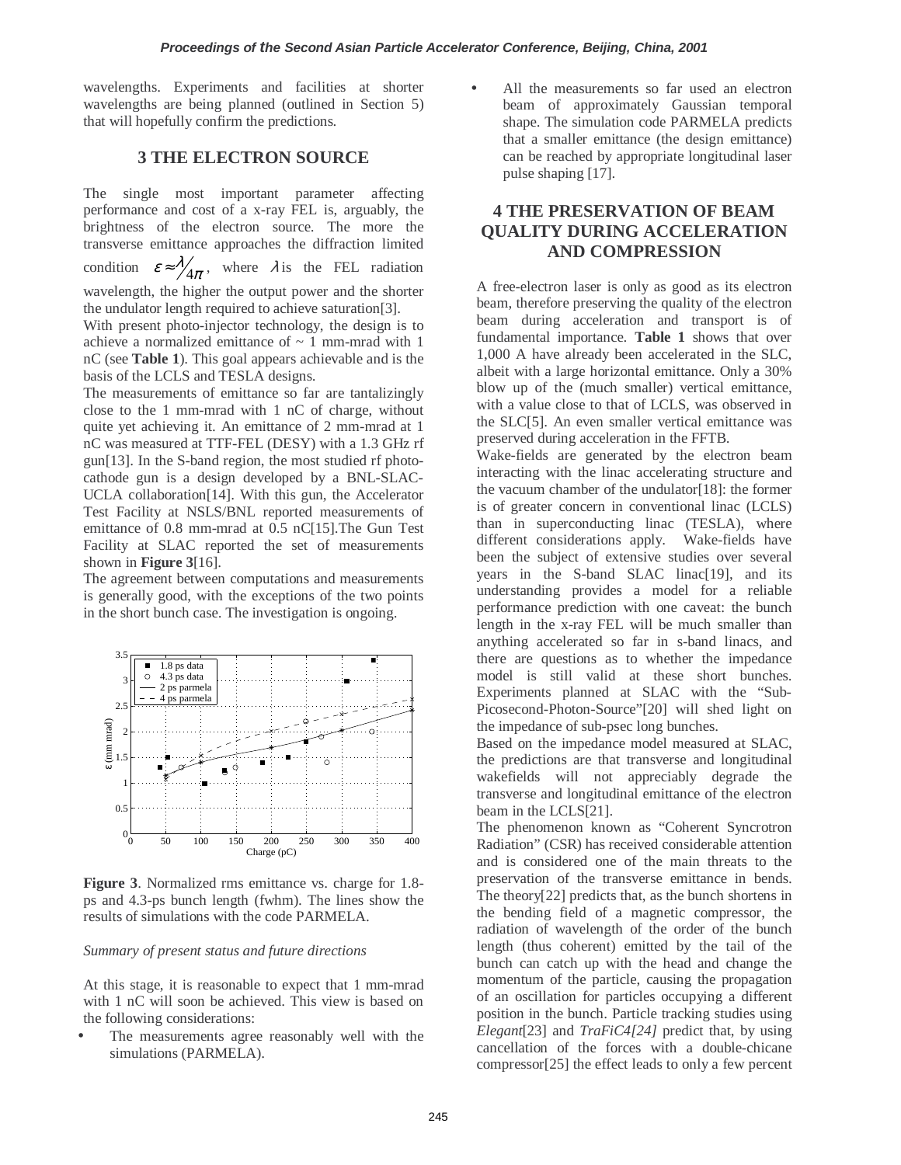wavelengths. Experiments and facilities at shorter wavelengths are being planned (outlined in Section 5) that will hopefully confirm the predictions.

## **3 THE ELECTRON SOURCE**

The single most important parameter affecting performance and cost of a x-ray FEL is, arguably, the brightness of the electron source. The more the transverse emittance approaches the diffraction limited condition  $\varepsilon \approx \frac{\lambda}{4\pi}$ , where  $\lambda$  is the FEL radiation wavelength, the higher the output power and the shorter the undulator length required to achieve saturation[3].

With present photo-injector technology, the design is to achieve a normalized emittance of  $\sim$  1 mm-mrad with 1 nC (see **Table 1**). This goal appears achievable and is the basis of the LCLS and TESLA designs.

The measurements of emittance so far are tantalizingly close to the 1 mm-mrad with 1 nC of charge, without quite yet achieving it. An emittance of 2 mm-mrad at 1 nC was measured at TTF-FEL (DESY) with a 1.3 GHz rf gun[13]. In the S-band region, the most studied rf photocathode gun is a design developed by a BNL-SLAC-UCLA collaboration[14]. With this gun, the Accelerator Test Facility at NSLS/BNL reported measurements of emittance of 0.8 mm-mrad at 0.5 nC[15].The Gun Test Facility at SLAC reported the set of measurements shown in **Figure 3**[16].

The agreement between computations and measurements is generally good, with the exceptions of the two points in the short bunch case. The investigation is ongoing.



**Figure 3**. Normalized rms emittance vs. charge for 1.8 ps and 4.3-ps bunch length (fwhm). The lines show the results of simulations with the code PARMELA.

#### *Summary of present status and future directions*

At this stage, it is reasonable to expect that 1 mm-mrad with 1 nC will soon be achieved. This view is based on the following considerations:

The measurements agree reasonably well with the simulations (PARMELA).

All the measurements so far used an electron beam of approximately Gaussian temporal shape. The simulation code PARMELA predicts that a smaller emittance (the design emittance) can be reached by appropriate longitudinal laser pulse shaping [17].

# **4 THE PRESERVATION OF BEAM QUALITY DURING ACCELERATION AND COMPRESSION**

A free-electron laser is only as good as its electron beam, therefore preserving the quality of the electron beam during acceleration and transport is of fundamental importance. **Table 1** shows that over 1,000 A have already been accelerated in the SLC, albeit with a large horizontal emittance. Only a 30% blow up of the (much smaller) vertical emittance, with a value close to that of LCLS, was observed in the SLC[5]. An even smaller vertical emittance was preserved during acceleration in the FFTB.

Wake-fields are generated by the electron beam interacting with the linac accelerating structure and the vacuum chamber of the undulator[18]: the former is of greater concern in conventional linac (LCLS) than in superconducting linac (TESLA), where different considerations apply. Wake-fields have been the subject of extensive studies over several years in the S-band SLAC linac[19], and its understanding provides a model for a reliable performance prediction with one caveat: the bunch length in the x-ray FEL will be much smaller than anything accelerated so far in s-band linacs, and there are questions as to whether the impedance model is still valid at these short bunches. Experiments planned at SLAC with the "Sub-Picosecond-Photon-Source"[20] will shed light on the impedance of sub-psec long bunches.

Based on the impedance model measured at SLAC, the predictions are that transverse and longitudinal wakefields will not appreciably degrade the transverse and longitudinal emittance of the electron beam in the LCLS[21].

The phenomenon known as "Coherent Syncrotron Radiation" (CSR) has received considerable attention and is considered one of the main threats to the preservation of the transverse emittance in bends. The theory[22] predicts that, as the bunch shortens in the bending field of a magnetic compressor, the radiation of wavelength of the order of the bunch length (thus coherent) emitted by the tail of the bunch can catch up with the head and change the momentum of the particle, causing the propagation of an oscillation for particles occupying a different position in the bunch. Particle tracking studies using *Elegant*[23] and *TraFiC4[24]* predict that, by using cancellation of the forces with a double-chicane compressor[25] the effect leads to only a few percent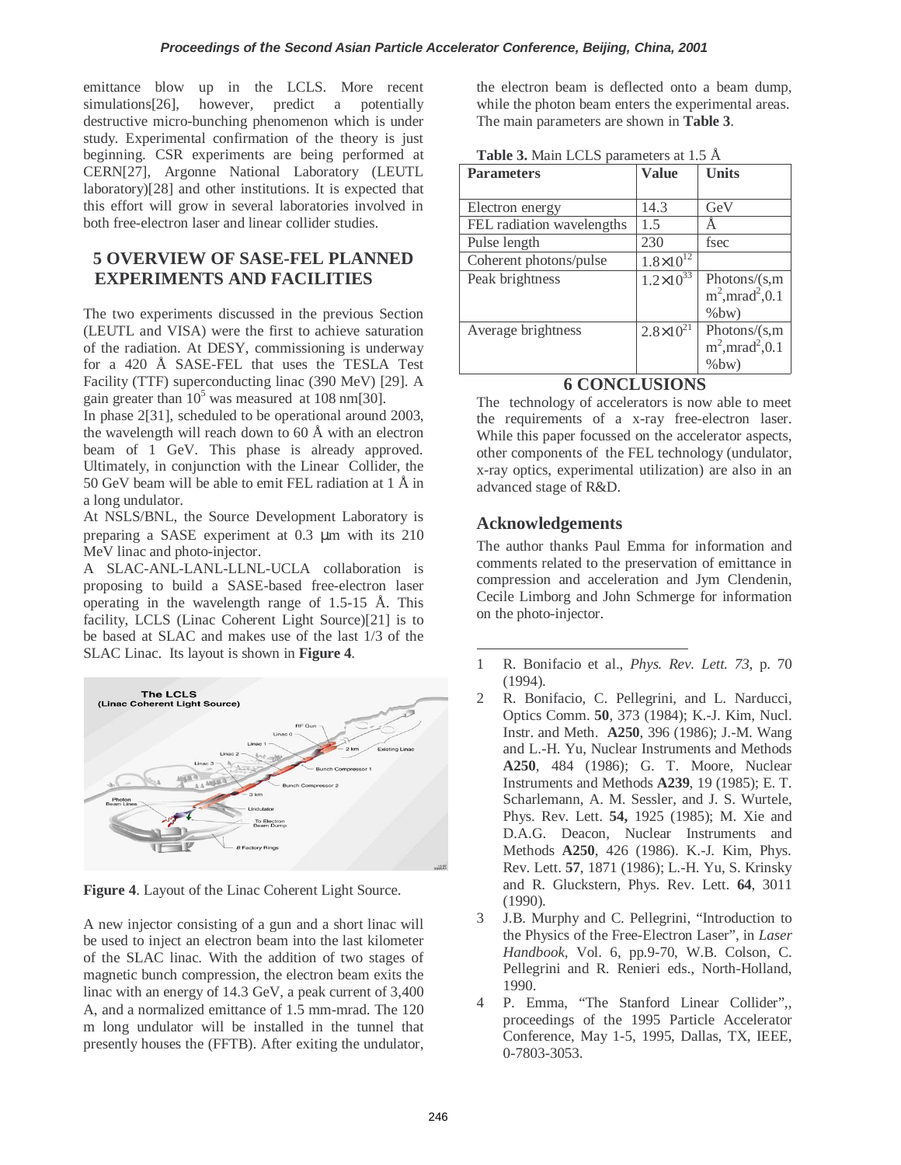emittance blow up in the LCLS. More recent simulations<sup>[26]</sup>, however, predict a potentially destructive micro-bunching phenomenon which is under study. Experimental confirmation of the theory is just beginning. CSR experiments are being performed at CERN[27], Argonne National Laboratory (LEUTL laboratory)[28] and other institutions. It is expected that this effort will grow in several laboratories involved in both free-electron laser and linear collider studies.

# **5 OVERVIEW OF SASE-FEL PLANNED EXPERIMENTS AND FACILITIES**

The two experiments discussed in the previous Section (LEUTL and VISA) were the first to achieve saturation of the radiation. At DESY, commissioning is underway for a 420 Å SASE-FEL that uses the TESLA Test Facility (TTF) superconducting linac (390 MeV) [29]. A gain greater than  $10^5$  was measured at 108 nm[30].

In phase 2[31], scheduled to be operational around 2003, the wavelength will reach down to 60 Å with an electron beam of 1 GeV. This phase is already approved. Ultimately, in conjunction with the Linear Collider, the 50 GeV beam will be able to emit FEL radiation at 1 Å in a long undulator.

At NSLS/BNL, the Source Development Laboratory is preparing a SASE experiment at 0.3 µm with its 210 MeV linac and photo-injector.

A SLAC-ANL-LANL-LLNL-UCLA collaboration is proposing to build a SASE-based free-electron laser operating in the wavelength range of 1.5-15 Å. This facility, LCLS (Linac Coherent Light Source)[21] is to be based at SLAC and makes use of the last 1/3 of the SLAC Linac. Its layout is shown in **Figure 4**.



**Figure 4**. Layout of the Linac Coherent Light Source.

A new injector consisting of a gun and a short linac will be used to inject an electron beam into the last kilometer of the SLAC linac. With the addition of two stages of magnetic bunch compression, the electron beam exits the linac with an energy of 14.3 GeV, a peak current of 3,400 A, and a normalized emittance of 1.5 mm-mrad. The 120 m long undulator will be installed in the tunnel that presently houses the (FFTB). After exiting the undulator, the electron beam is deflected onto a beam dump, while the photon beam enters the experimental areas. The main parameters are shown in **Table 3**.

| <b>Parameters</b>         | <b>Value</b>         | <b>Units</b>                                                   |
|---------------------------|----------------------|----------------------------------------------------------------|
| Electron energy           | 14.3                 | GeV                                                            |
| FEL radiation wavelengths | 1.5                  |                                                                |
| Pulse length              | 230                  | fsec                                                           |
| Coherent photons/pulse    | $1.8 \times 10^{12}$ |                                                                |
| Peak brightness           | $1.2 \times 10^{33}$ | Photons/ $(s,m)$<br>$m^2$ , mrad <sup>2</sup> , 0.1<br>$%$ bw) |
| Average brightness        | $2.8 \times 10^{21}$ | Photons/ $(s,m)$<br>$m^2$ , mrad <sup>2</sup> , 0.1<br>$%$ bw) |

### **Table 3.** Main LCLS parameters at 1.5 Å

# **6 CONCLUSIONS**

The technology of accelerators is now able to meet the requirements of a x-ray free-electron laser. While this paper focussed on the accelerator aspects, other components of the FEL technology (undulator, x-ray optics, experimental utilization) are also in an advanced stage of R&D.

## **Acknowledgements**

The author thanks Paul Emma for information and comments related to the preservation of emittance in compression and acceleration and Jym Clendenin, Cecile Limborg and John Schmerge for information on the photo-injector.

- $\overline{a}$ 1 R. Bonifacio et al., *Phys. Rev. Lett. 73*, p. 70 (1994).
- 2 R. Bonifacio, C. Pellegrini, and L. Narducci, Optics Comm. **50**, 373 (1984); K.-J. Kim, Nucl. Instr. and Meth. **A250**, 396 (1986); J.-M. Wang and L.-H. Yu, Nuclear Instruments and Methods **A250**, 484 (1986); G. T. Moore, Nuclear Instruments and Methods **A239**, 19 (1985); E. T. Scharlemann, A. M. Sessler, and J. S. Wurtele, Phys. Rev. Lett. **54,** 1925 (1985); M. Xie and D.A.G. Deacon, Nuclear Instruments and Methods **A250**, 426 (1986). K.-J. Kim, Phys. Rev. Lett. **57**, 1871 (1986); L.-H. Yu, S. Krinsky and R. Gluckstern, Phys. Rev. Lett. **64**, 3011 (1990).
- 3 J.B. Murphy and C. Pellegrini, "Introduction to the Physics of the Free-Electron Laser", in *Laser Handbook*, Vol. 6, pp.9-70, W.B. Colson, C. Pellegrini and R. Renieri eds., North-Holland, 1990.
- 4 P. Emma, "The Stanford Linear Collider",*,*  proceedings of the 1995 Particle Accelerator Conference, May 1-5, 1995, Dallas, TX, IEEE, 0-7803-3053.